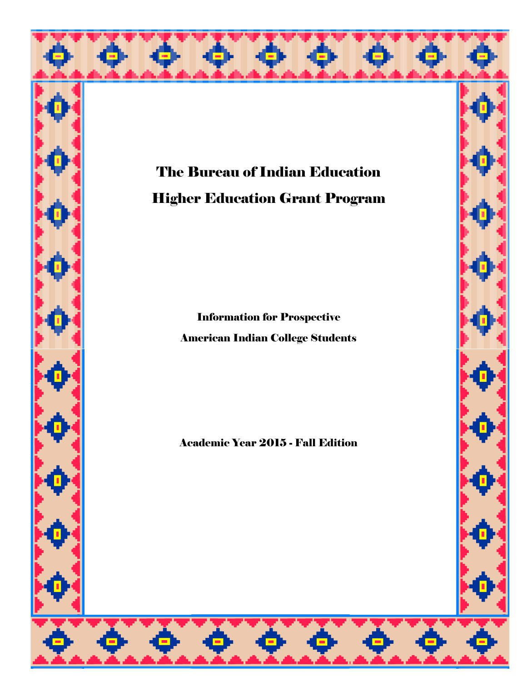



Information for Prospective American Indian College Students

Academic Year 2015 - Fall Edition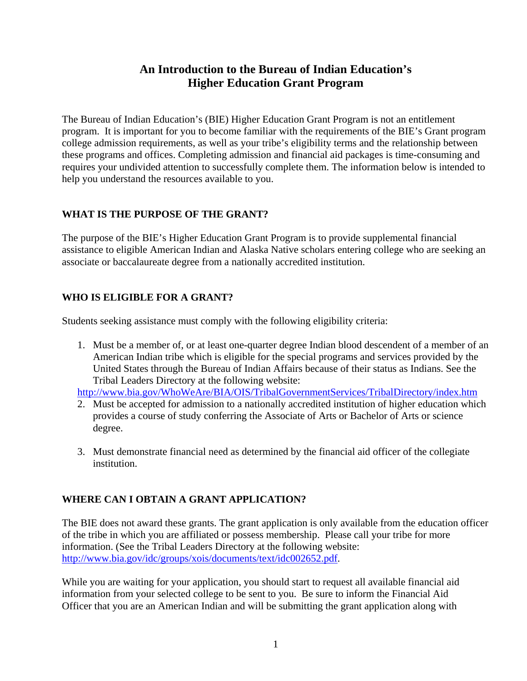## **An Introduction to the Bureau of Indian Education's Higher Education Grant Program**

The Bureau of Indian Education's (BIE) Higher Education Grant Program is not an entitlement program. It is important for you to become familiar with the requirements of the BIE's Grant program college admission requirements, as well as your tribe's eligibility terms and the relationship between these programs and offices. Completing admission and financial aid packages is time-consuming and requires your undivided attention to successfully complete them. The information below is intended to help you understand the resources available to you.

## **WHAT IS THE PURPOSE OF THE GRANT?**

The purpose of the BIE's Higher Education Grant Program is to provide supplemental financial assistance to eligible American Indian and Alaska Native scholars entering college who are seeking an associate or baccalaureate degree from a nationally accredited institution.

## **WHO IS ELIGIBLE FOR A GRANT?**

Students seeking assistance must comply with the following eligibility criteria:

1. Must be a member of, or at least one-quarter degree Indian blood descendent of a member of an American Indian tribe which is eligible for the special programs and services provided by the United States through the Bureau of Indian Affairs because of their status as Indians. See the Tribal Leaders Directory at the following website:

http://www.bia.gov/WhoWeAre/BIA/OIS/TribalGovernmentServices/TribalDirectory/index.htm

- 2. Must be accepted for admission to a nationally accredited institution of higher education which provides a course of study conferring the Associate of Arts or Bachelor of Arts or science degree.
- 3. Must demonstrate financial need as determined by the financial aid officer of the collegiate institution.

## **WHERE CAN I OBTAIN A GRANT APPLICATION?**

The BIE does not award these grants. The grant application is only available from the education officer of the tribe in which you are affiliated or possess membership. Please call your tribe for more information. (See the Tribal Leaders Directory at the following website: http://www.bia.gov/idc/groups/xois/documents/text/idc002652.pdf.

While you are waiting for your application, you should start to request all available financial aid information from your selected college to be sent to you. Be sure to inform the Financial Aid Officer that you are an American Indian and will be submitting the grant application along with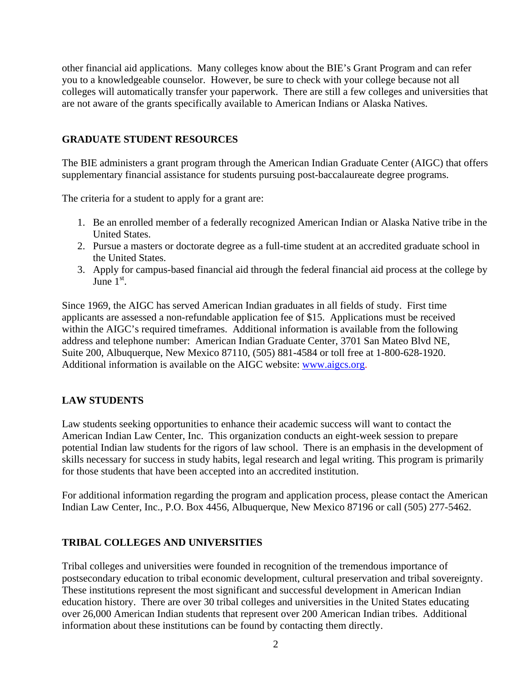other financial aid applications. Many colleges know about the BIE's Grant Program and can refer you to a knowledgeable counselor. However, be sure to check with your college because not all colleges will automatically transfer your paperwork. There are still a few colleges and universities that are not aware of the grants specifically available to American Indians or Alaska Natives.

## **GRADUATE STUDENT RESOURCES**

The BIE administers a grant program through the American Indian Graduate Center (AIGC) that offers supplementary financial assistance for students pursuing post-baccalaureate degree programs.

The criteria for a student to apply for a grant are:

- 1. Be an enrolled member of a federally recognized American Indian or Alaska Native tribe in the United States.
- 2. Pursue a masters or doctorate degree as a full-time student at an accredited graduate school in the United States.
- 3. Apply for campus-based financial aid through the federal financial aid process at the college by June  $1<sup>st</sup>$ .

Since 1969, the AIGC has served American Indian graduates in all fields of study. First time applicants are assessed a non-refundable application fee of \$15. Applications must be received within the AIGC's required timeframes. Additional information is available from the following address and telephone number: American Indian Graduate Center, 3701 San Mateo Blvd NE, Suite 200, Albuquerque, New Mexico 87110, (505) 881-4584 or toll free at 1-800-628-1920. Additional information is available on the AIGC website: www.aigcs.org.

## **LAW STUDENTS**

Law students seeking opportunities to enhance their academic success will want to contact the American Indian Law Center, Inc. This organization conducts an eight-week session to prepare potential Indian law students for the rigors of law school. There is an emphasis in the development of skills necessary for success in study habits, legal research and legal writing. This program is primarily for those students that have been accepted into an accredited institution.

For additional information regarding the program and application process, please contact the American Indian Law Center, Inc., P.O. Box 4456, Albuquerque, New Mexico 87196 or call (505) 277-5462.

## **TRIBAL COLLEGES AND UNIVERSITIES**

Tribal colleges and universities were founded in recognition of the tremendous importance of postsecondary education to tribal economic development, cultural preservation and tribal sovereignty. These institutions represent the most significant and successful development in American Indian education history. There are over 30 tribal colleges and universities in the United States educating over 26,000 American Indian students that represent over 200 American Indian tribes. Additional information about these institutions can be found by contacting them directly.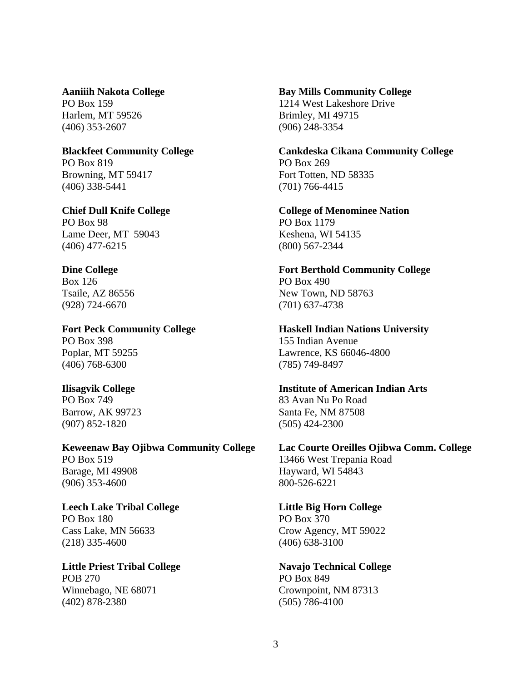Harlem, MT 59526 Brimley, MI 49715 (406) 353-2607 (906) 248-3354

## PO Box 819 PO Box 269 Browning, MT 59417 Fort Totten, ND 58335

Lame Deer, MT 59043 Keshena, WI 54135 (406) 477-6215 (800) 567-2344

Box 126 PO Box 490 (928) 724-6670 (701) 637-4738

PO Box 398 155 Indian Avenue

(406) 768-6300 (785) 749-8497

(907) 852-1820(505) 424-2300

PO Box 519 13466 West Trepania Road Barage, MI 49908 Hayward, WI 54843 (906) 353-4600 800-526-6221

### Leech Lake Tribal College Little Big Horn College PO Box 180 PO Box 370

(218) 335-4600 (406) 638-3100

## Little Priest Tribal College **Navajo Technical College** POB 270 PO Box 849

(402) 878-2380 (505) 786-4100

## **Aaniiih Nakota College Bay Mills Community College**  PO Box 159 1214 West Lakeshore Drive

**Blackfeet Community College Cankdeska Cikana Community College**  (406) 338-5441 (701) 766-4415

**Chief Dull Knife College College College of Menominee Nation** PO Box 98 PO Box 1179

**Dine College The College Example 2 September 2 September 2 September 2 September 2 September 2 September 2 September 2 September 2 September 2 September 2 September 2 September 2 September 2 September 2 September 2 Septem** Tsaile, AZ 86556 New Town, ND 58763

## **Fort Peck Community College Haskell Indian Nations University**

Poplar, MT 59255 Lawrence, KS 66046-4800

## **Ilisagvik College Institute of American Indian Arts**

PO Box 749 83 Avan Nu Po Road Barrow, AK 99723 Santa Fe, NM 87508

## **Keweenaw Bay Ojibwa Community College Lac Courte Oreilles Ojibwa Comm. College**

Cass Lake, MN 56633 Crow Agency, MT 59022

Winnebago, NE 68071 Crownpoint, NM 87313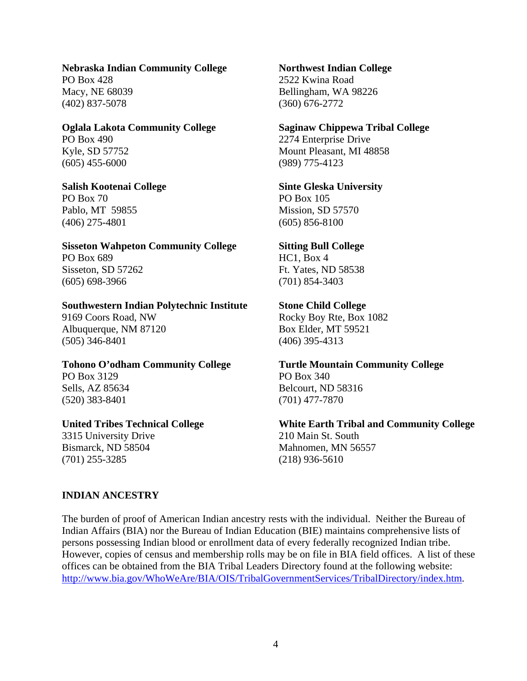## **Nebraska Indian Community College Northwest Indian College**

PO Box 428 2522 Kwina Road (402) 837-5078 (360) 676-2772

(605) 455-6000 (989) 775-4123

PO Box 70 PO Box 105 Pablo, MT 59855 Mission, SD 57570 (406) 275-4801 (605) 856-8100

**Sisseton Wahpeton Community College Sitting Bull College**  PO Box 689 HC1, Box 4 Sisseton, SD 57262 Ft. Yates, ND 58538 (605) 698-3966 (701) 854-3403

## **Southwestern Indian Polytechnic Institute Stone Child College**

Albuquerque, NM 87120 Box Elder, MT 59521 (505) 346-8401 (406) 395-4313

### **Tohono O'odham Community College Turtle Mountain Community College**  PO Box 3129 PO Box 340

(520) 383-8401 (701) 477-7870

3315 University Drive 210 Main St. South Bismarck, ND 58504 Mahnomen, MN 56557 (701) 255-3285 (218) 936-5610

Macy, NE 68039 Bellingham, WA 98226

## **Oglala Lakota Community College Saginaw Chippewa Tribal College**

PO Box 490 2274 Enterprise Drive Kyle, SD 57752 Mount Pleasant, MI 48858

## **Salish Kootenai College Sinte Gleska University**

9169 Coors Road, NW Rocky Boy Rte, Box 1082

# Sells, AZ 85634 Belcourt, ND 58316

# **United Tribes Technical College White Earth Tribal and Community College**

## **INDIAN ANCESTRY**

The burden of proof of American Indian ancestry rests with the individual. Neither the Bureau of Indian Affairs (BIA) nor the Bureau of Indian Education (BIE) maintains comprehensive lists of persons possessing Indian blood or enrollment data of every federally recognized Indian tribe. However, copies of census and membership rolls may be on file in BIA field offices. A list of these offices can be obtained from the BIA Tribal Leaders Directory found at the following website: http://www.bia.gov/WhoWeAre/BIA/OIS/TribalGovernmentServices/TribalDirectory/index.htm.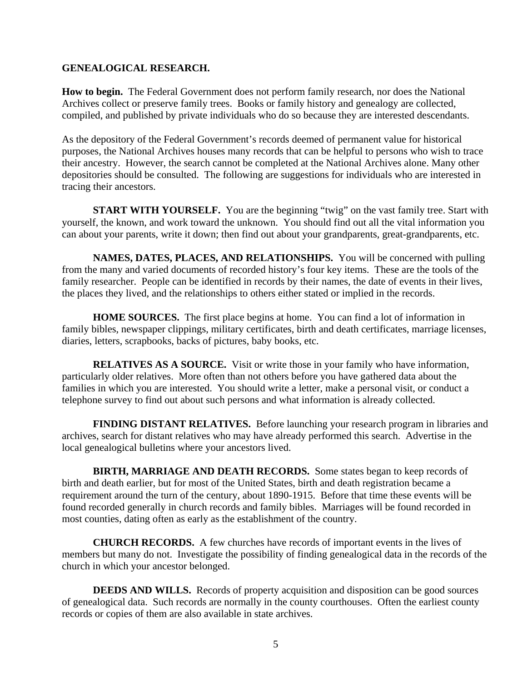## **GENEALOGICAL RESEARCH.**

**How to begin.** The Federal Government does not perform family research, nor does the National Archives collect or preserve family trees. Books or family history and genealogy are collected, compiled, and published by private individuals who do so because they are interested descendants.

As the depository of the Federal Government's records deemed of permanent value for historical purposes, the National Archives houses many records that can be helpful to persons who wish to trace their ancestry. However, the search cannot be completed at the National Archives alone. Many other depositories should be consulted. The following are suggestions for individuals who are interested in tracing their ancestors.

**START WITH YOURSELF.** You are the beginning "twig" on the vast family tree. Start with yourself, the known, and work toward the unknown. You should find out all the vital information you can about your parents, write it down; then find out about your grandparents, great-grandparents, etc.

**NAMES, DATES, PLACES, AND RELATIONSHIPS.** You will be concerned with pulling from the many and varied documents of recorded history's four key items. These are the tools of the family researcher. People can be identified in records by their names, the date of events in their lives, the places they lived, and the relationships to others either stated or implied in the records.

**HOME SOURCES.** The first place begins at home. You can find a lot of information in family bibles, newspaper clippings, military certificates, birth and death certificates, marriage licenses, diaries, letters, scrapbooks, backs of pictures, baby books, etc.

**RELATIVES AS A SOURCE.** Visit or write those in your family who have information, particularly older relatives. More often than not others before you have gathered data about the families in which you are interested. You should write a letter, make a personal visit, or conduct a telephone survey to find out about such persons and what information is already collected.

**FINDING DISTANT RELATIVES.** Before launching your research program in libraries and archives, search for distant relatives who may have already performed this search. Advertise in the local genealogical bulletins where your ancestors lived.

**BIRTH, MARRIAGE AND DEATH RECORDS.** Some states began to keep records of birth and death earlier, but for most of the United States, birth and death registration became a requirement around the turn of the century, about 1890-1915. Before that time these events will be found recorded generally in church records and family bibles. Marriages will be found recorded in most counties, dating often as early as the establishment of the country.

**CHURCH RECORDS.** A few churches have records of important events in the lives of members but many do not. Investigate the possibility of finding genealogical data in the records of the church in which your ancestor belonged.

**DEEDS AND WILLS.** Records of property acquisition and disposition can be good sources of genealogical data. Such records are normally in the county courthouses. Often the earliest county records or copies of them are also available in state archives.